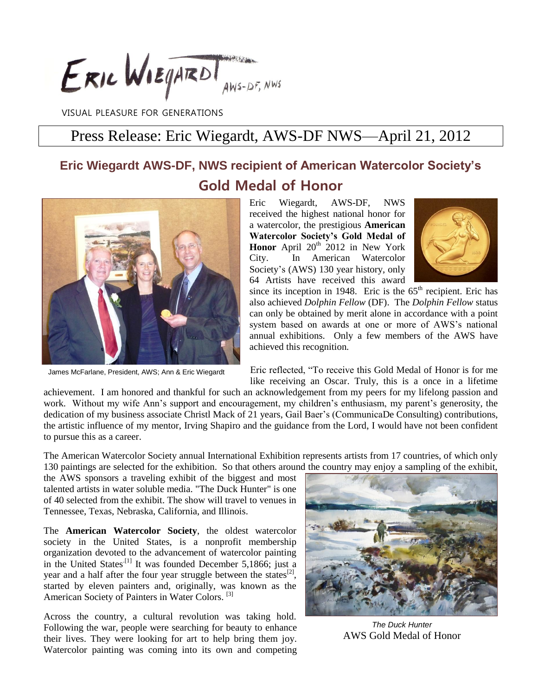ERIC WIEGARD AWS-DF, NWS

VISUAL PLEASURE FOR GENERATIONS

## Press Release: Eric Wiegardt, AWS-DF NWS—April 21, 2012

## **Eric Wiegardt AWS-DF, NWS recipient of American Watercolor Society's Gold Medal of Honor**



James McFarlane, President, AWS; Ann & Eric Wiegardt

## Eric Wiegardt, AWS-DF, NWS received the highest national honor for a watercolor, the prestigious **American Watercolor Society's Gold Medal of Honor** April  $20^{th}$   $2012$  in New York City. In American Watercolor Society's (AWS) 130 year history, only 64 Artists have received this award



since its inception in 1948. Eric is the  $65<sup>th</sup>$  recipient. Eric has also achieved *Dolphin Fellow* (DF). The *Dolphin Fellow* status can only be obtained by merit alone in accordance with a point system based on awards at one or more of AWS's national annual exhibitions. Only a few members of the AWS have achieved this recognition.

Eric reflected, "To receive this Gold Medal of Honor is for me like receiving an Oscar. Truly, this is a once in a lifetime

achievement. I am honored and thankful for such an acknowledgement from my peers for my lifelong passion and work. Without my wife Ann's support and encouragement, my children's enthusiasm, my parent's generosity, the dedication of my business associate Christl Mack of 21 years, Gail Baer's (CommunicaDe Consulting) contributions, the artistic influence of my mentor, Irving Shapiro and the guidance from the Lord, I would have not been confident to pursue this as a career.

The American Watercolor Society annual International Exhibition represents artists from 17 countries, of which only 130 paintings are selected for the exhibition. So that others around the country may enjoy a sampling of the exhibit,

the AWS sponsors a traveling exhibit of the biggest and most talented artists in water soluble media. "The Duck Hunter" is one of 40 selected from the exhibit. The show will travel to venues in Tennessee, Texas, Nebraska, California, and Illinois.

The **American Watercolor Society**, the oldest watercolor society in the United States, is a nonprofit membership organization devoted to the advancement of watercolor painting in the United States<sup>[1]</sup> It was founded December 5,1866; just a year and a half after the four year struggle between the states $^{[2]}$ , started by eleven painters and, originally, was known as the American Society of Painters in Water Colors.<sup>[3]</sup>

Across the country, a cultural revolution was taking hold. Following the war, people were searching for beauty to enhance their lives. They were looking for art to help bring them joy. Watercolor painting was coming into its own and competing



*The Duck Hunter* AWS Gold Medal of Honor